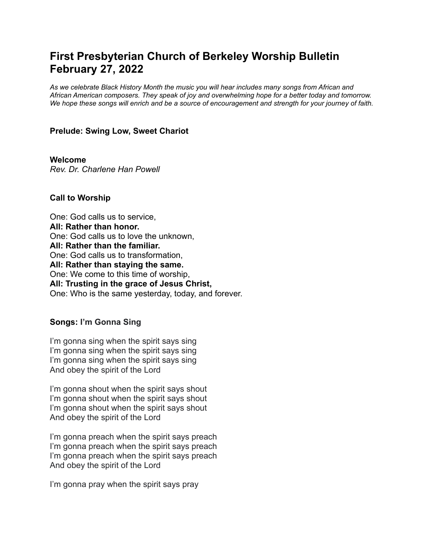# **First Presbyterian Church of Berkeley Worship Bulletin February 27, 2022**

*As we celebrate Black History Month the music you will hear includes many songs from African and African American composers. They speak of joy and overwhelming hope for a better today and tomorrow.* We hope these songs will enrich and be a source of encouragement and strength for your journey of faith.

### **Prelude: Swing Low, Sweet Chariot**

**Welcome** *Rev. Dr. Charlene Han Powell*

#### **Call to Worship**

One: God calls us to service, **All: Rather than honor.** One: God calls us to love the unknown, **All: Rather than the familiar.** One: God calls us to transformation, **All: Rather than staying the same.** One: We come to this time of worship, **All: Trusting in the grace of Jesus Christ,** One: Who is the same yesterday, today, and forever.

# **Songs: I'm Gonna Sing**

I'm gonna sing when the spirit says sing I'm gonna sing when the spirit says sing I'm gonna sing when the spirit says sing And obey the spirit of the Lord

I'm gonna shout when the spirit says shout I'm gonna shout when the spirit says shout I'm gonna shout when the spirit says shout And obey the spirit of the Lord

I'm gonna preach when the spirit says preach I'm gonna preach when the spirit says preach I'm gonna preach when the spirit says preach And obey the spirit of the Lord

I'm gonna pray when the spirit says pray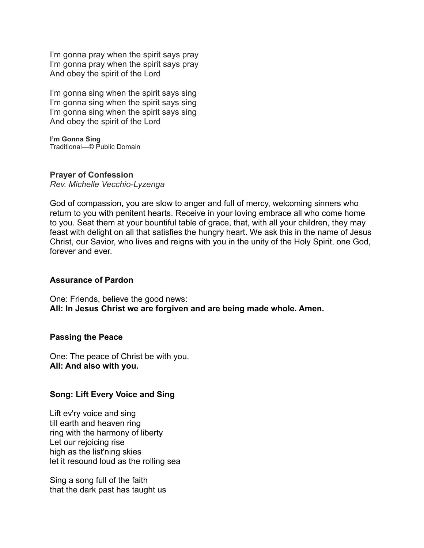I'm gonna pray when the spirit says pray I'm gonna pray when the spirit says pray And obey the spirit of the Lord

I'm gonna sing when the spirit says sing I'm gonna sing when the spirit says sing I'm gonna sing when the spirit says sing And obey the spirit of the Lord

**I'm Gonna Sing** Traditional—© Public Domain

### **Prayer of Confession**

*Rev. Michelle Vecchio-Lyzenga*

God of compassion, you are slow to anger and full of mercy, welcoming sinners who return to you with penitent hearts. Receive in your loving embrace all who come home to you. Seat them at your bountiful table of grace, that, with all your children, they may feast with delight on all that satisfies the hungry heart. We ask this in the name of Jesus Christ, our Savior, who lives and reigns with you in the unity of the Holy Spirit, one God, forever and ever.

# **Assurance of Pardon**

One: Friends, believe the good news: **All: In Jesus Christ we are forgiven and are being made whole. Amen.**

#### **Passing the Peace**

One: The peace of Christ be with you. **All: And also with you.**

# **Song: Lift Every Voice and Sing**

Lift ev'ry voice and sing till earth and heaven ring ring with the harmony of liberty Let our rejoicing rise high as the list'ning skies let it resound loud as the rolling sea

Sing a song full of the faith that the dark past has taught us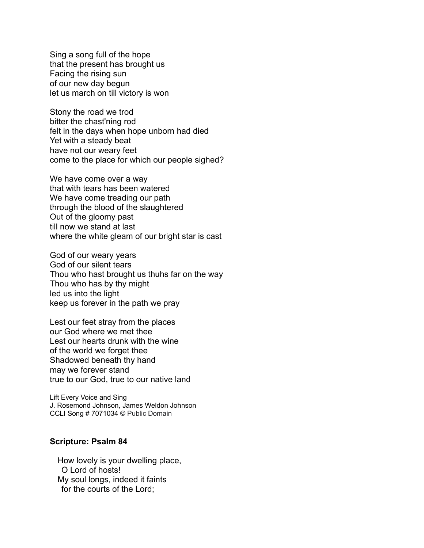Sing a song full of the hope that the present has brought us Facing the rising sun of our new day begun let us march on till victory is won

Stony the road we trod bitter the chast'ning rod felt in the days when hope unborn had died Yet with a steady beat have not our weary feet come to the place for which our people sighed?

We have come over a way that with tears has been watered We have come treading our path through the blood of the slaughtered Out of the gloomy past till now we stand at last where the white gleam of our bright star is cast

God of our weary years God of our silent tears Thou who hast brought us thuhs far on the way Thou who has by thy might led us into the light keep us forever in the path we pray

Lest our feet stray from the places our God where we met thee Lest our hearts drunk with the wine of the world we forget thee Shadowed beneath thy hand may we forever stand true to our God, true to our native land

Lift Every Voice and Sing J. Rosemond Johnson, James Weldon Johnson CCLI Song # 7071034 © Public Domain

#### **Scripture: Psalm 84**

How lovely is your dwelling place, O Lord of hosts! My soul longs, indeed it faints for the courts of the Lord;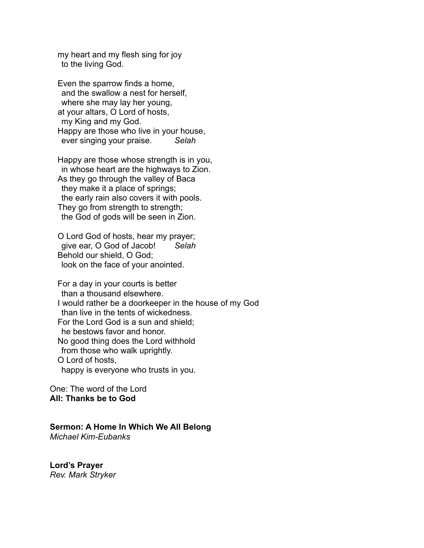my heart and my flesh sing for joy to the living God.

Even the sparrow finds a home, and the swallow a nest for herself, where she may lay her young, at your altars, O Lord of hosts, my King and my God. Happy are those who live in your house, ever singing your praise. *Selah*

Happy are those whose strength is in you, in whose heart are the highways to Zion. As they go through the valley of Baca they make it a place of springs; the early rain also covers it with pools. They go from strength to strength; the God of gods will be seen in Zion.

O Lord God of hosts, hear my prayer; give ear, O God of Jacob! *Selah* Behold our shield, O God; look on the face of your anointed.

For a day in your courts is better than a thousand elsewhere. I would rather be a doorkeeper in the house of my God than live in the tents of wickedness. For the Lord God is a sun and shield; he bestows favor and honor. No good thing does the Lord withhold from those who walk uprightly. O Lord of hosts, happy is everyone who trusts in you.

One: The word of the Lord **All: Thanks be to God**

# **Sermon: A Home In Which We All Belong**

*Michael Kim-Eubanks*

**Lord's Prayer** *Rev. Mark Stryker*